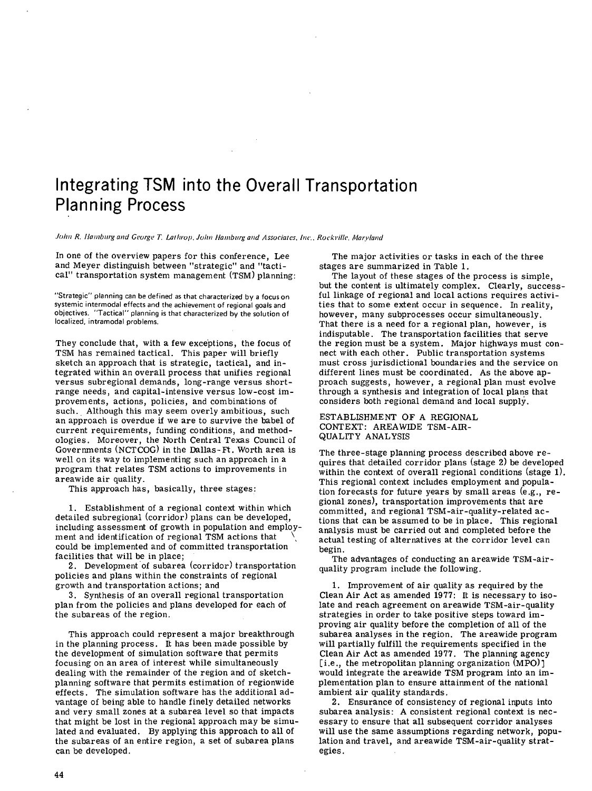# Integrating TSM into the Overall Transportation Planning Process

John R. Hamburg and George T. Lathrop. John Hamburg and Associates, Inc., Rockville, Maryland

In one of the overview papers for this conference, Lee and Meyer distinguish between "strategic" and "tactical" transportation system management (TSM) planning

'Strategic' planning can be defined as that characterized by a focus on systemic intermodal effects and the achievement of regional goals and objectives. "Tactical" planning is that characterized by the solution of localized, intramodal problems.

They conclude that, with a few exceptions, the focus of TSM has remained tactical. This paper will briefly sketch an approach that is strategic, tactical, and integrated within an overall process that unifies regional versus subregional demands, long-range versus shortrange needs, and capital-intensive versus low-cost improvements, actions, policies, and combinations of such. Although this may seem overly ambitious, such an approach is overdue if we are to survive the babel of current requirements, funding conditions, and methodologies. Moreover, the North Central Texas Council of Governments (NCTCOG) in the Dallas-Ft. Worth area is well on its way to implementing such an approach in a program that relates TSM actions to improvements in areawide air quality.

This approach has, basically, three stages:

Establishment of a regional context within which detailed subregional (corridor) plans can be developed, including assessment of growth in population and employment and identification of regional TSM actions that \, could be implemented and of committed transportation facilities that will be in place;

Development of subarea (corridor) transportation policies and plans within the constraints of regional growth and transportation actions; and

Synthesis of an overall regional transportation plan from the policies and plans developed for each of the subareas of the region.

This approach could represent a major breakthrough in the planning process. It has been made possible by the development of simulation software that permits focusing on an area of interest while simultaneously dealing with the remainder of the region and of sketchplanning software that permits estimation of regionwide effects. The simulation software has the additional advantage of being able to handle finely detailed networks and very small zones at a subarea level so that impacts that might be lost in the regional approach may be simulated and evaluated. By applying this approach to all of the subareas of an entire region, a set of subarea plans can be developed.

The major activities or tasks in each of the three stages are summarized in Table 1.

The layout of these stages of the process is simple, but the content is ultimately complex. Clearly, successful linkage of regional and local actions requires activities that to some extent occur in sequence. In reality, however, many subprocesses occur simultaneously. That there is a need for a regional plan, however, is indisputable. The transportation facilities that serve the region must be a system. Major highways must connect with each other. Public transportation systems must cross jurisdictional boundaries and the service on different lines must be coordinated. As the above approach suggests, however, a regional plan must evolve through a synthesis and integration of local plans that considers both regional demand and local supply.

ESTABLISHMENT OF A REGIONAL CONTEXT: AREAWIDE TSM-AIR-QUALiTY ANALYSIS

The three-stage planning process described above requires that detailed corridor plans (stage 2) be developed within the context of overall regional conditions (stage 1). This regional context includes employment and population forecasts for future years by small areas (e.g., regional zones), transportation improvements that are committed, and regional TSM-air-quality-related actions tions that can be assumed to be in place. This regional analysis must be carried out and completed before the actual testing of alternatives at the corridor level can begin.

The advantages of conducting an areawide TSM-airquality program include the following.

1. Improvement of air quality as required by the Clean Air Act as amended 1977: It is necessary to isolate and reach agreement on areawide TSM-air-quality strategies in order to take positive steps toward improving air quality before the completion of all of the subarea analyses in the region. The areawide program will partially fulfill the requirements specified in the Clean Air Act as amended 1977. The planning agency [i.e., the metropolitan planning organization (MPO)] would integrate the areawide TSM program into an implementation plan to ensure attainment of the national ambient air quality standards.

Ensurance of consistency of regional inputs into subarea analysis: A consistent regional context is necessary to ensure that all subsequent corridor analyses will use the same assumptions regarding network, population and travel, and areawide TSM-air-quality strategies.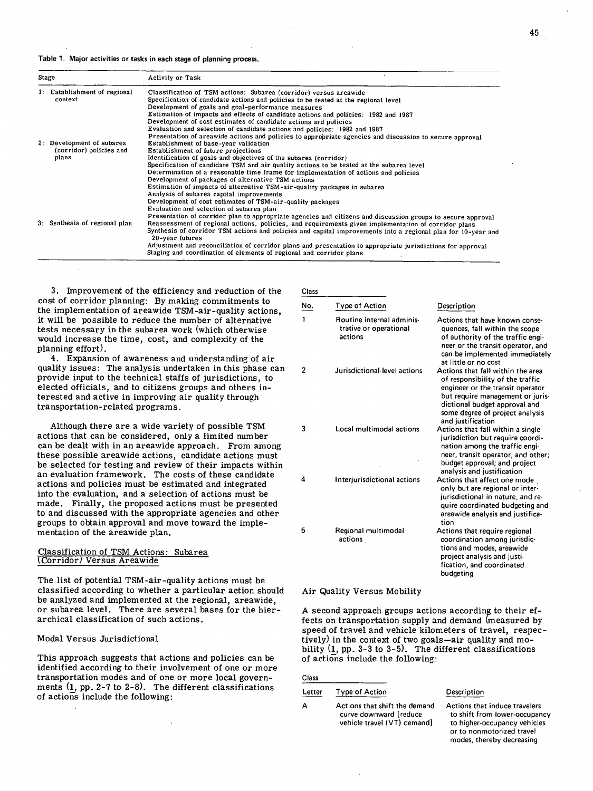### Table 1. Major activities or tasks in each stage of planning process.

| Stage |                                                               | <b>Activity or Task</b>                                                                                                                                                                                                                                                                                                                                                                                                                                                                                                                                                                                                                                                                         |  |
|-------|---------------------------------------------------------------|-------------------------------------------------------------------------------------------------------------------------------------------------------------------------------------------------------------------------------------------------------------------------------------------------------------------------------------------------------------------------------------------------------------------------------------------------------------------------------------------------------------------------------------------------------------------------------------------------------------------------------------------------------------------------------------------------|--|
|       | 1: Establishment of regional<br>context                       | Classification of TSM actions: Subarea (corridor) versus areawide<br>Specification of candidate actions and policies to be tested at the regional level<br>Development of goals and goal-performance measures<br>Estimation of impacts and effects of candidate actions and policies: 1982 and 1987<br>Development of cost estimates of candidate actions and policies<br>Evaluation and selection of candidate actions and policies: 1982 and 1987<br>Presentation of areawide actions and policies to appropriate agencies and discussion to secure approval                                                                                                                                  |  |
|       | 2. Development of subarea<br>(corridor) policies and<br>plans | Establishment of base-year validation<br>Establishment of future projections<br>Identification of goals and objectives of the subarea (corridor)<br>Specification of candidate TSM and air quality actions to be tested at the subarea level<br>Determination of a reasonable time frame for implementation of actions and policies<br>Development of packages of alternative TSM actions<br>Estimation of impacts of alternative TSM-air-quality packages in subarea                                                                                                                                                                                                                           |  |
|       | 3: Synthesis of regional plan                                 | Analysis of subarea capital improvements<br>Development of cost estimates of TSM-air-quality packages<br>Evaluation and selection of subarea plan<br>Presentation of corridor plan to appropriate agencies and citizens and discussion groups to secure approval<br>Reassessment of regional actions, policies, and requirements given implementation of corridor plans<br>Synthesis of corridor TSM actions and policies and capital improvements into a regional plan for 10-year and<br>20-year futures<br>Adjustment and reconciliation of corridor plans and presentation to appropriate jurisdictions for approval<br>Staging and coordination of elements of regional and corridor plans |  |

3. Improvement of the efficiency and reduction of the cost of corridor planning: By making commitments to the implementation of areawide TSM-air-quality actions, it will be possible to reduce the number of alternative tests necessary in the subarea work (which otherwise would increase the time, cost, and complexity of the planning effort).

Expansion of awareness and understanding of air quality issues: The analysis undertaken in this phase can provide input to the technical staffs of jurisdictions, to elected officials, and to citizens groups and others interested and active in improving air quality through transportation-related programs.

Although there are a wide variety of possible TSM actions that can be considered, only a limited number can be dealt with in an areawide approach. From among these possible areawide actions, candidate actions must be selected for testing and review of their impacts within an evaluation framework. The costs of these candidate actions and policies must be estimated and integrated into the evaluation, and a selection of actions must be made. Finally, the proposed actions must be presented to and discussed with the appropriate agencies and other groups to obtain approval and move toward the implementation of the areawide plan.

# Classification of TSM Actions: Subarea Corridor) Versus Areawide

The list of potential TSM-air-quality actions must be classified according to whether a particular action should be analyzed and implemented at the regional, areawide, or subarea level. There are several bases for the hierarchical classification of such actions.

### Modal Versus Jurisdictional

This approach suggests that actions and policies can be identified according to their involvement of one or more transportation modes and of one or more local governments (1, pp. 2-7 to 2-8). The different classifications of actions include the following:

Class

| No. | Type of Action                                                 | Description                                                                                                                                                                                                                            |
|-----|----------------------------------------------------------------|----------------------------------------------------------------------------------------------------------------------------------------------------------------------------------------------------------------------------------------|
| 1   | Routine internal adminis-<br>trative or operational<br>actions | Actions that have known conse-<br>quences, fall within the scope<br>of authority of the traffic engi-<br>neer or the transit operator, and<br>can be implemented immediately<br>at little or no cost                                   |
| 2   | Jurisdictional-level actions                                   | Actions that fall within the area<br>of responsibility of the traffic<br>engineer or the transit operator<br>but require management or juris-<br>dictional budget approval and<br>some degree of project analysis<br>and justification |
| 3   | Local multimodal actions                                       | Actions that fall within a single<br>jurisdiction but require coordi-<br>nation among the traffic engi-<br>neer, transit operator, and other;<br>budget approval; and project<br>analysis and justification                            |
| 4   | Interjurisdictional actions                                    | Actions that affect one mode<br>only but are regional or inter-<br>jurisdictional in nature, and re-<br>quire coordinated budgeting and<br>areawide analysis and justifica-<br>tion                                                    |
| 5   | Regional multimodal<br>actions                                 | Actions that require regional<br>coordination among jurisdic-<br>tions and modes, areawide<br>project analysis and justi-<br>fication, and coordinated<br>budgeting                                                                    |

#### Air Quality Versus Mobility

A second approach groups actions according to their effects on transportation supply and demand (measured by speed of travel and vehicle kilometers of travel, respectively) in the context of two goals—air quality and mobility  $(1, pp. 3-3$  to  $3-5)$ . The different classifications of actions include the following:

| Class  |                                                                                        |                                                                                                                                                          |
|--------|----------------------------------------------------------------------------------------|----------------------------------------------------------------------------------------------------------------------------------------------------------|
| Letter | <b>Type of Action</b>                                                                  | Description                                                                                                                                              |
|        | Actions that shift the demand<br>curve downward [reduce<br>vehicle travel (VT) demand] | Actions that induce travelers<br>to shift from lower-occupancy<br>to higher-occupancy vehicles<br>or to nonmotorized travel<br>modes, thereby decreasing |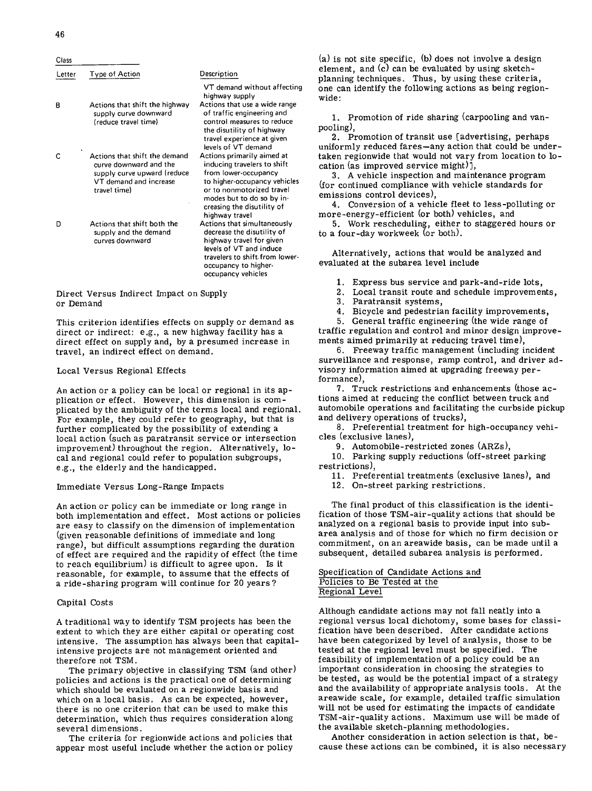| Class  |                                                                                                                                  |                                                                                                                                                                                                                             |
|--------|----------------------------------------------------------------------------------------------------------------------------------|-----------------------------------------------------------------------------------------------------------------------------------------------------------------------------------------------------------------------------|
| Letter | Type of Action                                                                                                                   | Description                                                                                                                                                                                                                 |
|        |                                                                                                                                  | VT demand without affecting<br>highway supply                                                                                                                                                                               |
| в      | Actions that shift the highway<br>supply curve downward<br>(reduce travel time)                                                  | Actions that use a wide range<br>of traffic engineering and<br>control measures to reduce<br>the disutility of highway<br>travel experience at given<br>levels of VT demand                                                 |
| С      | Actions that shift the demand<br>curve downward and the<br>supply curve upward (reduce<br>VT demand and increase<br>travel time) | Actions primarily aimed at<br>inducing travelers to shift<br>from lower-occupancy<br>to higher-occupancy vehicles<br>or to nonmotorized travel<br>modes but to do so by in-<br>creasing the disutility of<br>highway travel |
| D      | Actions that shift both the<br>supply and the demand<br>curves downward                                                          | Actions that simultaneously<br>decrease the disutility of<br>highway travel for given<br>levels of VT and induce<br>travelers to shift from lower-<br>occupancy to higher-<br>occupancy vehicles                            |

Direct Versus Indirect Impact on Supply or Demand

This criterion identifies effects on supply or demand as direct or indirect: e.g., a new highway facility has a direct effect on supply and, by a presumed increase in travel, an indirect effect on demand.

### Local Versus Regional Effects

An action or a policy can be local or regional in its application or effect. However, this dimension is complicated by the ambiguity of the terms local and regional For example, they could refer to geography, but that is further complicated by the possibility of extending a local action (such as paratransit service or intersection improvement) throughout the region. Alternatively, local and regional could refer to population subgroups, e.g., the elderly and the handicapped.

### Immediate Versus Long-Range Impacts

An action or policy can be immediate or long range in both implementation and effect. Most actions or policies are easy to classify on the dimension of implementation (given reasonable definitions of immediate and long range), but difficult assumptions regarding the duration of effect are required and the rapidity of effect (the time to reach equilibrium) is difficult to agree upon. Is it reasonable, for example, to assume that the effects of a ride-sharing program will continue for 20 years?

# Capital Costs

A traditional way to identify TSM projects has been the extent to which they are either capital or operating cost intensive. The assumption has always been that capitalintensive projects are not management oriented and therefore not TSM.

The primary objective in classifying TSM (and other) policies and actions is the practical one of determining which should be evaluated on a regionwide basis and which on a local basis. As can be expected, however, there is no one criterion that can be used to make this determination, which thus requires consideration along several dimensions.

The criteria for regionwide actions and policies that appear most useful include whether the action or policy (a) is not site specific, (b) does not involve a design element, and (c) can be evaluated by using sketchplanning techniques. Thus, by using these criteria, one can identify the following actions as being regionwide:

1. Promotion of ride sharing (carpooling and vanpooling),

2. Promotion of transit use [advertising, perhaps uniformly reduced fares—any action that could be undertaken regionwide that would not vary from location to location (as improved service might)],

3. A vehicle inspection and maintenance program (for continued compliance with vehicle standards for emissions control devices),

Conversion of a vehicle fleet to less-polluting or more-energy-efficient (or both) vehicles, and

Work rescheduling, either to staggered hours or to a four-day workweek (or both).

Alternatively, actions that would be analyzed and evaluated at the subarea level include

Express bus service and park-and-ride lots,

- Local transit route and schedule improvements,
- 3. Paratransit systems,

4. Bicycle and pedestrian facility improvements,

General traffic engineering (the wide range of traffic regulation and control and minor design improvements aimed primarily at reducing travel time),

Freeway traffic management (including incident surveillance and response, ramp control, and driver advisory information aimed at upgrading freeway performance),

Truck restrictions and enhancements (those actions aimed at reducing the conflict between truck and automobile operations and facilitating the curbside pickup and delivery operations of trucks),

8. Preferential treatment for high-occupancy vehicles (exclusive lanes),

9. Automobile-restricted zones (ARZs),

10. Parking supply reductions (off-street parking restrictions),

11. Preferential treatments (exclusive lanes), and

On-street parking restrictions.

The final product of this classification is the identification of those TSM-air-quality actions that should be analyzed on a regional basis to provide input into subarea analysis and of those for which no firm decision or commitment, on an areawide basis, can be made until a subsequent, detailed subarea analysis is performed.

Specification of Candidate Actions and Policies to Be Tested at the Regional Level

Although candidate actions may not fall neatly into a regional versus local dichotomy, some bases for classification have been described. After candidate actions have been categorized by level of analysis, those to be tested at the regional level must be specified. The feasibility of implementation of a policy could be an important consideration in choosing the strategies to be tested, as would be the potential impact of a strategy and the availability of appropriate analysis tools. At the areawide scale, for example, detailed traffic simulation will not be used for estimating the impacts of candidate TSM-air-quality actions. Maximum use will be made of the available sketch-planning methodologies.

Another consideration in action selection is that, because these actions can be combined, it is also necessary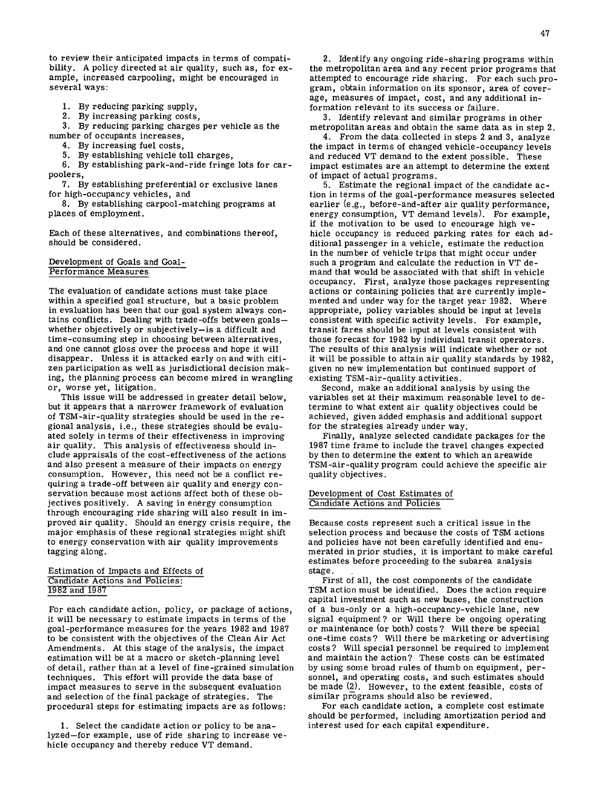to review their anticipated impacts in terms of compatibility. A policy directed at air quality, such as, for example, increased carpooling, might be encouraged in several ways:

1. By reducing parking supply,

By increasing parking costs,

By reducing parking charges per vehicle as the number of occupants increases,

4. By increasing fuel costs,

5. By establishing vehicle toll charges,

By establishing park-and-ride fringe lots for carpoolers,

7. By establishing preferential or exclusive lanes for high-occupancy vehicles, and

By establishing carpool-matching programs at places of employment.

Each of these alternatives, and combinations thereof, should be considered.

# Development of Goals and Goal-Performance measures

The evaluation of candidate actions must take place within a specified goal structure, but a basic problem in evaluation has been that our goal system always contains conflicts. Dealing with trade-offs between goals whether objectively or subjectively—is a difficult and time-consuming step in choosing between alternatives, and one cannot gloss over the process and hope it will disappear. Unless it is attacked early on and with citizen participation as well as jurisdictional decision making, the planning process can become mired in wrangling or, worse yet, litigation.

This issue will be addressed in greater detail below, but it appears that a narrower framework of evaluation of TSM-air-quality strategies should be used in the regional analysis, i.e., these strategies should be evaluated solely in terms of their effectiveness in improving air quality. This analysis of effectiveness should include appraisals of the cost-effectiveness of the actions and also present a measure of their impacts on energy consumption.. However, this need not be a conflict requiring a trade-off between air quality and energy conservation because most actions affect both of these objectives positively. A saving in energy consumption through encouraging ride sharing will also result in improved air quality. Should an energy crisis require, the major emphasis of these regional strategies might shift to energy conservation with air quality improvements tagging along.

### Estimation of Impacts and Effects of Candidate Actions and Policies: 1982 and 1987

For each candidate action, policy, or package of actions, it will be necessary to estimate impacts in terms of the goal -performance measures for the years 1982 and 1987 to be consistent with the objectives of the Clean Air Act Amendments. At this stage of the analysis, the impact estimation will be at a macro or sketch-planning level of detail, rather than at a level of fine-grained simulation techniques. This effort will provide the data base of impact measures to serve in the subsequent evaluation and selection of the final package of strategies. The procedural steps for estimating impacts are as follows:

1. Select the candidate action or policy to be analyzed—for example, use of ride sharing to increase vehicle occupancy and thereby reduce VT demand.

2. Identify any ongoing ride-sharing programs within the metropolitan area and any recent prior programs that attempted to encourage ride sharing. For each such program, obtain information on its sponsor, area of coverage, measures of impact, cost, and any additional information relevant to its success or failure.

Identify relevant and similar programs in other metropolitan areas and obtain the same data as in step 2.

From the data collected in steps 2 and 3, analyze the impact in terms of changed vehicle-occupancy levels and reduced VT demand to the extent possible. These impact estimates are an attempt to determine the extent of impact of actual programs.

Estimate the regional impact of the candidate action in terms of the goal -performance measures selected earlier (e.g., before-and-after air quality performance, energy consumption, VT demand levels). For example, if the motivation to be used to encourage high vehicle occupancy is reduced parking rates for each additional passenger in a vehicle, estimate the reduction in the number of vehicle trips that might occur under such a program and calculate the reduction in VT demand that would be associated with that shift in vehicle occupancy. First, analyze those packages representing actions or containing policies that are currently implemented and under way for the target year 1982. Where appropriate, policy variables should be input at levels consistent with specific activity levels. For example, transit fares should be input at levels consistent with those forecast for 1982 by individual transit operators. The results of this analysis will indicate whether or not it will be possible to attain air quality standards by 1982, given no new implementation but continued support of existing TSM-air-quality activities.

Second, make an additional analysis by using the variables set at their maximum reasonable level to determine to what extent air quality objectives could be achieved, given added emphasis and additional support for the strategies already under way.

Finally, analyze selected candidate packages for the 1987 time frame to include the travel changes expected by then to determine the extent to which an areawide TSM-air-quality program could achieve the specific air quality objectives.

### Development of Cost Estimates of Candidate Actions and Policies

Because costs represent such a critical issue in the selection process and because the costs of TSM actions and policies have not been carefully identified and enumerated in prior studies, it is important to make careful estimates before proceeding to the subarea analysis stage.

First of all, the cost components of the candidate TSM action must be identified. Does the action require capital investment such as new buses, the construction of a bus-only or a high-occupancy-vehicle lane, new signal equipment? or Will there be ongoing operating or maintenance (or both) costs? Will there be special one-time costs? Will there be marketing or advertising costs? Will special personnel be required to implement and maintain the action? These costs can be estimated by using some broad rules of thumb on equipment, personnel, and operating costs, and such estimates should be made (2). However, to the extent feasible, costs of similar programs should also be reviewed.

For each candidate action, a complete cost estimate should be performed, including amortization period and interest used for each capital expenditure.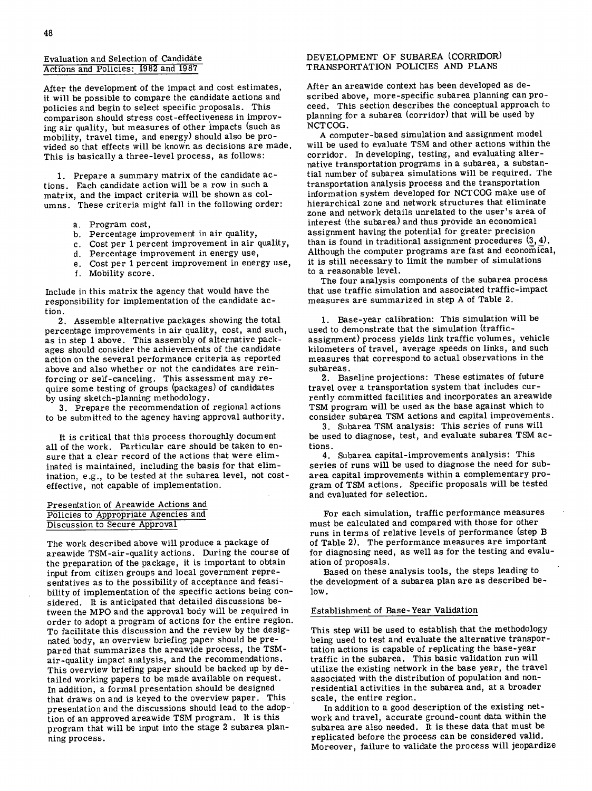# Evaluation and Selection of Candidate Actions and Policies: 1982 and 1987

After the development of the impact and cost estimates, it will be possible to compare the candidate actions and policies and begin to select specific proposals. This comparison should stress cost-effectiveness in improving air quality, but measures of other impacts (such as mobility, travel time, and energy) should also be provided so that effects will be known as decisions are made This is basically a three-level process, as follows:

1. Prepare a summary matrix of the candidate actions. Each candidate action will be a row in such a matrix, and the impact criteria will be shown as columns. These criteria might fall in the following order

- a. Program cost,
- b. Percentage improvement in air quality,
- Cost per 1 percent improvement in air quality,
- d. Percentage improvement in energy use,
- Cost per 1 percent improvement in energy use,
- f. Mobility score.

Include in this matrix the agency that would have the responsibility for implementation of the candidate action.

2. Assemble alternative packages showing the total percentage improvements in air quality, cost, and such, as in step 1 above. This assembly of alternative packages should consider the achievements of the candidate action on the several performance criteria as reported above and also whether or not the candidates are reinforcing or self-canceling. This assessment may require some testing of groups (packages) of candidates by using sketch-planning methodology.

3. Prepare the recommendation of regional actions to be submitted to the agency having approval authority.

It is critical that this process thoroughly document all of the work. Particular care should be taken to ensure that a clear record of the actions that were eliminated is maintained, including the basis for that elimination, e.g., to be tested at the subarea level, not costeffective, not capable of implementation.

### Presentation of Areawide Actions and Policies to Appropriate Agencies and Discussion to Secure Approval

The work described above will produce a package of areawide TSM-air-quality actions. During the course of the preparation of the package, it is important to obtain input from citizen groups and local government representatives as to the possibility of acceptance and feasibility of implementation of the specific actions being considered. It is anticipated that detailed discussions between the MPO and the approval body will be required in order to adopt a program of actions for the entire region. To facilitate this discussion and the review by the designated body, an overview briefing paper should be prepared that summarizes the areawide process, the TSMair-quality impact analysis, and the recommendations. This overview briefing paper should be backed up by detailed working papers to be made available on request. In addition, a formal presentation should be designed that draws on and is keyed to the overview paper. This presentation and the discussions should lead to the adoption of an approved areawide TSM program. It is this program that will be input into the stage 2 subarea planning process.

# DEVELOPMENT OF SUBAREA (CORRIDOR) TRANSPORTATION POLICIES AND PLANS

After an areawide context has been developed as described above, more-specific subarea planning can proceed. This section describes the conceptual approach to planning for a subarea (corridor) that will be used by NCTCOG.

A computer-based simulation and assignment model will be used to evaluate TSM and other actions within the corridor. In developing, testing, and evaluating alternative transportation programs in a subarea, a substantial number of subarea simulations will be required. The transportation analysis process and the transportation information system developed for NCTCOG make use of hierarchical zone and network structures that eliminate zone and network details unrelated to the user's area of interest (the subarea) and thus provide an economical assignment having the potential for greater precision than is found in traditional assignment procedures (3, 4). Although the computer programs are fast and economical, it is still necessary to limit the number of simulations to a reasonable level.

The four analysis components of the subarea process that use traffic simulation and associated traffic-impact measures are summarized in step A of Table 2.

Base-year calibration: This simulation will be used to demonstrate that the simulation (trafficassignment) process yields link traffic volumes, vehicle kilometers of travel, average speeds on links, and such measures that correspond to actual observations in the subareas.

2. Baseline projections: These estimates of future travel over a transportation system that includes currently committed facilities and incorporates an areawide TSM program will be used as the base against which to consider subarea TSM actions and capital improvements.

3. Subarea TSM analysis: This series of runs will be used to diagnose, test, and evaluate subarea TSM actions.

Subarea capital-improvements analysis: This series of runs will be used to diagnose the need for subarea capital improvements within a complementary program of TSM actions. Specific proposals will be tested and evaluated for selection.

For each simulation, traffic performance measures must be calculated and compared with those for other runs in terms of relative levels of performance (step B of Table 2). The performance measures are important for diagnosing need, as well as for the testing and evaluation of proposals.

Based on these analysis tools, the steps leading to the development of a subarea plan are as described below.

# Establishment of Base-Year Validation

This step will be used to establish that the methodology being used to test and evaluate the alternative transportation actions is capable of replicating the base-year traffic in the subarea. This basic validation run will utilize the existing network in the base year, the travel associated with the distribution of population and nonresidential activities in the subarea and, at a broader scale, the entire region.

In addition to a good description of the existing network and travel, accurate ground-count data within the subarea are also needed. It is these data that must be replicated before the process can be considered valid. Moreover, failure to validate the process will jeopardize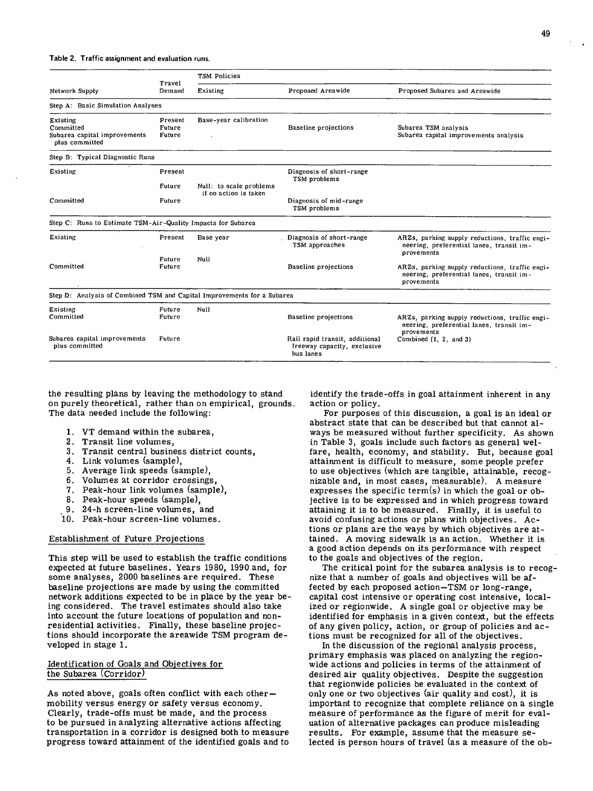|                                                                         | Travel<br>Demand            | TSM Policies                                     |                                                                            |                                                                                                          |
|-------------------------------------------------------------------------|-----------------------------|--------------------------------------------------|----------------------------------------------------------------------------|----------------------------------------------------------------------------------------------------------|
| Network Supply                                                          |                             | Existing                                         | Proposed Areawide                                                          | Proposed Subarea and Areawide                                                                            |
| Step A: Basic Simulation Analyses                                       |                             |                                                  |                                                                            |                                                                                                          |
| Existing<br>Committed<br>Subarea capital improvements<br>plus committed | Present<br>Future<br>Future | Base-year calibration                            | Baseline projections                                                       | Subarea TSM analysis<br>Subarea capital improvements analysis                                            |
| Step B: Typical Diagnostic Runs                                         |                             |                                                  |                                                                            |                                                                                                          |
| Existing                                                                | Present                     |                                                  | Disgnosis of short-range<br>TSM problems                                   |                                                                                                          |
|                                                                         | Future                      | Null: to scale problems<br>if no action is taken |                                                                            |                                                                                                          |
| Committed                                                               | Future                      |                                                  | Diagnosis of mid-range<br>TSM problems                                     |                                                                                                          |
| Step C: Runs to Estimate TSM-Air-Quality Impacts for Subarea            |                             |                                                  |                                                                            |                                                                                                          |
| Existing                                                                | Present                     | Base year                                        | Diagnosis of short-range<br>TSM approaches                                 | ARZs, parking supply reductions, traffic engi-<br>neering, preferential lanes, transit im-<br>provements |
| Committed                                                               | Future<br>Future            | Null                                             | <b>Baseline projections</b>                                                | ARZs, parking supply reductions, traffic engi-<br>neering, preferential lanes, transit im-<br>provements |
| Step D: Analysis of Combined TSM and Capital Improvements for a Subarea |                             |                                                  |                                                                            |                                                                                                          |
| Existing<br>Committed                                                   | Future<br>Future            | Null                                             | <b>Baseline</b> projections                                                | ARZs, parking supply reductions, traffic engi-<br>neering, preferential lanes, transit im-<br>provements |
| Subarea capital improvements<br>plus committed                          | Future                      |                                                  | Rail rapid transit, additional<br>freeway capacity, exclusive<br>bus lanes | Combined (1, 2, and 3)                                                                                   |

the resulting plans by leaving the methodology to. stand on purely theoretical, rather than on empirical, grounds The data needed include the following:

- VT demand within the subarea,
- 2. Transit line volumes,
- 3. Transit central business district counts,
- 4. Link volumes (sample),
- Average link speeds (sample),
- Volumes at corridor crossings,
- Peak-hour link volumes (sample),
- 8. Peak-hour speeds (sample),
- 24-h screen-line volumes, and
- 10. Peak-hour screen-line volumes.

# Establishment of Future Projections

This step will be used to establish the traffic conditions expected at future baselines. Years 1980, 1990 and, for some analyses, 2000 baselines are required. These baseline projections are made by using the committed network additions expected to be in place by the year being considered. The travel estimates should also take into account the future locations of population and nonresidential activities. Finally, these baseline projections should incorporate the areawide TSM program developed in stage 1.

### Identification of Goals and Objectives for the Subarea (Corridor)

As noted above, goals often conflict with each other mobility versus energy or safety versus economy. Clearly, trade-offs must be made, and the process to be pursued in analyzing alternative actions affecting transportation in a corridor is designed both to measure progress toward attainment of the identified goals and to identify the trade-offs in goal attainment inherent in any action or policy.

For purposes of this discussion, a goal is an ideal or abstract state that can be described but that cannot always be measured without further specificity. As shown in Table 3, goals include such factors as general welfare, health, economy, and stability. But, because goal attainment is difficult to measure, some people prefer to use objectives (which are tangible, attainable, recognizable and, in most cases, measurable). A measure expresses the specific term(s) in which the goal or objective is to be expressed and in which progress toward attaining it is to be measured. Finally, it is useful to avoid confusing actions or plans with objectives. Actions or plans are the ways by which objectives are attained. A moving sidewalk is an action. Whether it is a good action depends on its performance with respect to the goals and objectives of the region.

The critical point for the subarea analysis is to recognize that a number of goals and objectives will be affected by each proposed action—TSM or long-range, capital cost intensive or operating cost intensive, localized or regionwide. A single goal or objective may be identified for emphasis in a given context, but the effects of any given policy, action, or group of policies and actions must be recognized for all of the objectives.

In the discussion of the regional analysis process, primary emphasis was placed on analyzing the regionwide actions and policies in terms of the attainment of desired air quality objectives. Despite the suggestion that regionwide policies be evaluated in the context of only one or two objectives (air quality and cost), it is important to recognize that complete reliance on a single measure of performance as the figure of merit for evaluation of alternative packages can produce misleading results. For example, assume that the measure selected is person hours of travel (as a measure of the ob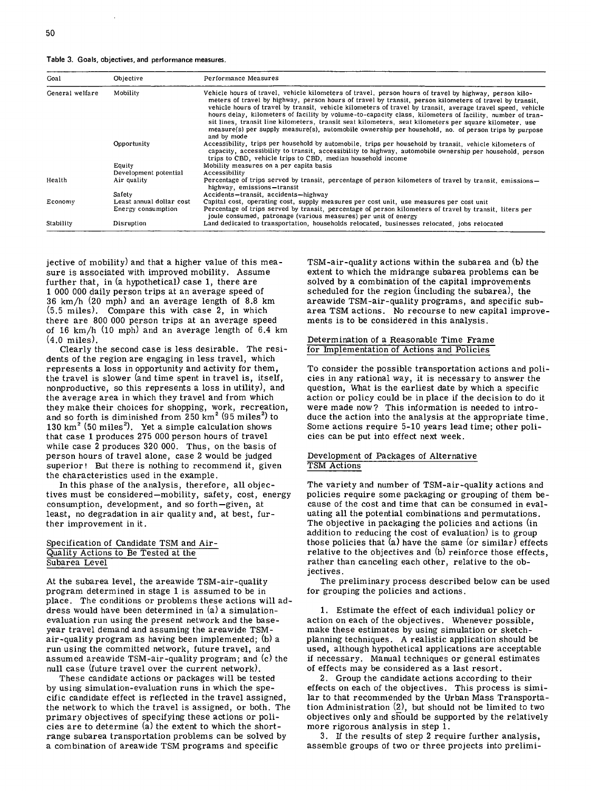**Table 3. Goals, objectives, and performance measures.** 

| Goal            | Objective                | Performance Measures                                                                                                                                                                                                                                                                                                                                                                                                                                                                                                                                                                                                                                                         |
|-----------------|--------------------------|------------------------------------------------------------------------------------------------------------------------------------------------------------------------------------------------------------------------------------------------------------------------------------------------------------------------------------------------------------------------------------------------------------------------------------------------------------------------------------------------------------------------------------------------------------------------------------------------------------------------------------------------------------------------------|
| General welfare | Mobility                 | Vehicle hours of travel, vehicle kilometers of travel, person hours of travel by highway, person kilo-<br>meters of travel by highway, person hours of travel by transit, person kilometers of travel by transit.<br>vehicle hours of travel by transit, vehicle kilometers of travel by transit, average travel speed, vehicle<br>hours delay, kilometers of facility by volume-to-capacity class, kilometers of facility, number of tran-<br>sit lines, transit line kilometers, transit seat kilometers, seat kilometers per square kilometer, use<br>measure(s) per supply measure(s), automobile ownership per household, no. of person trips by purpose<br>and by mode |
|                 | Opportunity              | Accessibility, trips per household by automobile, trips per household by transit, vehicle kilometers of<br>capacity, accessibility to transit, accessibility to highway, automobile ownership per household, person<br>trips to CBD, vehicle trips to CBD, median household income                                                                                                                                                                                                                                                                                                                                                                                           |
|                 | Equity                   | Mobility measures on a per capita basis                                                                                                                                                                                                                                                                                                                                                                                                                                                                                                                                                                                                                                      |
|                 | Development potential    | Accessibility                                                                                                                                                                                                                                                                                                                                                                                                                                                                                                                                                                                                                                                                |
| Health          | Air quality              | Percentage of trips served by transit, percentage of person kilometers of travel by transit, emissions-<br>highway, emissions-transit                                                                                                                                                                                                                                                                                                                                                                                                                                                                                                                                        |
|                 | Safety                   | Accidents-transit, accidents-highway                                                                                                                                                                                                                                                                                                                                                                                                                                                                                                                                                                                                                                         |
| Economy         | Least annual dollar cost | Capital cost, operating cost, supply measures per cost unit, use measures per cost unit                                                                                                                                                                                                                                                                                                                                                                                                                                                                                                                                                                                      |
|                 | Energy consumption       | Percentage of trips served by transit, percentage of person kilometers of travel by transit. liters per<br>joule consumed, patronage (various measures) per unit of energy                                                                                                                                                                                                                                                                                                                                                                                                                                                                                                   |
| Stability       | Disruption               | Land dedicated to transportation, households relocated, businesses relocated, jobs relocated                                                                                                                                                                                                                                                                                                                                                                                                                                                                                                                                                                                 |

jective of mobility) and that a higher value of this measure is associated with improved mobility. Assume further that, in (a hypothetical) case 1, there are 1 000 000 daily person trips at an average speed of 36 km/h (20 mph) and an average length of 8.8 km (5.5 miles). Compare this with case 2, in which there are 800 000 person trips at an average speed of 16 km/h (10 mph) and an average length of 6.4 km (4.0 miles).

Clearly the second case is less desirable. The residents of the region are engaging in less travel, which represents a loss in opportunity and activity for them, the travel is slower (and time spent in travel is, itself, nonproductive, so this represents a loss in utility), and the average area in which they travel and from which they make their choices for shopping, work, recreation, and so forth is diminished from  $250 \text{ km}^2$  (95 miles<sup>2</sup>) to 130 km<sup>2</sup> (50 miles<sup>2</sup>). Yet a simple calculation shows that case 1 produces 275 000 person hours of travel while case 2 produces 320 000. Thus, on the basis of person hours of travel alone, case 2 would be judged superior! But there is nothing to recommend it, given the characteristics used in the example.

In this phase of the analysis, therefore, all objectives must be considered—mobility, safety, cost, energy consumption, development, and so forth—given, at least, no degradation in air quality and, at best, further improvement in it.

### Specification of Candidate TSM and Air-Quality Actions to Be Tested at the Subarea Level

At the subarea level, the areawide TSM-air-quality program determined in stage 1 is assumed to be in place. The conditions or problems these actions will address would have been determined in (a) a simulationevaluation run using the present network and the baseyear travel demand and assuming the areawide TSMair-quality program as having been implemented; (b) a run using the committed network, future travel, and assumed areawide TSM-air-quality program; and (c) the null case (future travel over the current network).

These candidate actions or packages will be tested by using simulation-evaluation runs in which the specific candidate effect is reflected in the travel assigned, the network to which the travel is assigned, or both. The primary objectives of specifying these actions or policies are to determine (a) the extent to which the shortrange subarea transportation problems can be solved by a combination of areawide TSM programs and specific

TSM-air-quality actions within the subarea and (b) the extent to which the midrange subarea problems can be solved by a combination of the capital improvements scheduled for the region (including the subarea), the areawide TSM-air-quality programs, and specific subarea TSM actions. No recourse to new capital improvements is to be considered in this analysis.

### Determination of a Reasonable Time Frame for Implementation of Actions and Policies

To consider the possible transportation actions and policies in any rational way, it is necessary to answer the question, What is the earliest date by which a specific action or policy could be in place if the decision to do it were made now? This information is needed to introduce the action into the analysis at the appropriate time. Some actions require 5-10 years lead time; other policies can be put into effect next week.

### Development of Packages of Alternative TSM Actions

The variety and number of TSM-air-quality actions and policies require some packaging or grouping of them because of the cost and time that can be consumed in evaluating all the potential combinations and permutations. The objective in packaging the policies and actions (in addition to reducing the cost of evaluation) is to group those policies that (a) have the same (or similar) effects relative to the objectives and (b) reinforce those effects, rather than canceling each other, relative to the objectives.

The preliminary process described below can be used for grouping the policies and actions.

Estimate the effect of each individual policy or action on each of the objectives. Whenever possible, make these estimates by using simulation or sketchplanning techniques. A realistic application should be used, although hypothetical applications are acceptable if necessary. Manual techniques or general estimates of effects may be considered as a last resort.

2. Group the candidate actions according to their effects on each of the objectives. This process is similar to that recommended by the Urban Mass Transportation Administration (2), but should not be limited to two objectives only and should be supported by the relatively more rigorous analysis in step 1.

If the results of step 2 require further analysis, assemble groups of two or three projects into prelimi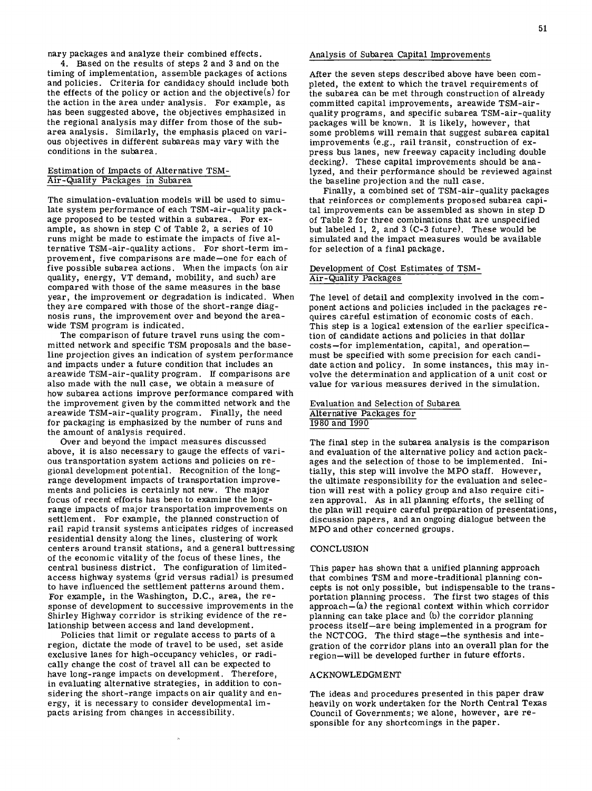nary packages and analyze their combined effects.

4. Based on the results of steps 2 and 3 and on the timing of implementation, assemble packages of actions and policies. Criteria for candidacy should include both the effects of the policy or action and the objective(s) for the action in the area under analysis. For example, as has been suggested above, the objectives emphasized in the regional analysis may differ from those of the subarea analysis. Similarly, the emphasis placed on various objectives in different subareas may vary with the conditions in the subarea.

# Estimation of Impacts of Alternative TSM-Air-Quality Packages in Subarea

The simulation-evaluation models will be used to simulate system performance of each TSM-air-quality package proposed to be tested within a subarea. For example, as shown in step C of Table 2, a series of 10 runs might be made to estimate the impacts of five alternative TSM-air-quality actions. For short-term improvement, five comparisons are made—one for each of five possible subarea actions. When the impacts (on air quality, energy, VT demand, mobility, and such) are compared with those of the same measures in the base year, the improvement or degradation is indicated. When they are compared with those of the short-range diagnosis runs, the improvement over and beyond the areawide TSM program is indicated.

The comparison of future travel runs using the committed network and specific TSM proposals and the baseline projection gives an indication of system performance and impacts under a future condition that includes an areawide TSM-air-quality program. If comparisons are also made with the null case, we obtain a measure of how subarea actions improve performance compared with the improvement given by the committed network and the areawide TSM-air-quality program. Finally, the need for packaging is emphasized by the number of runs and the amount of analysis required.

Over and beyond the impact measures discussed above, it is also necessary to gauge the effects of various transportation system actions and policies on regional development potential. Recognition of the longrange development impacts of transportation improvements and policies is certainly not new. The major focus of recent efforts has been to examine the longrange impacts of major transportation improvements on settlement. For example, the planned construction of rail rapid transit systems anticipates ridges of increased residential density along the lines, clustering of work centers around transit stations, and a general buttressing of the economic vitality of the focus of these lines, the central business district. The configuration of limitedaccess *highway* systems (grid versus radial) is presumed to have influenced the settlement patterns around them. For example, in the Washington, D.C., area, the response of development to successive improvements in the Shirley Highway corridor is striking evidence of the relationship between access and land development.

Policies that limit or regulate access to parts of a region, dictate the mode of travel to be used, set aside exclusive lanes for *high-occupancy* vehicles, or radically change the cost of travel all can be expected to have long-range impacts on development. Therefore, in evaluating alternative strategies, in addition to considering the short-range impacts on air quality and energy, it is necessary to consider developmental impacts arising from changes in accessibility.

#### Analysis of Subarea Capital Improvements

After the seven steps described above have been completed, the extent to *which* the travel requirements of the subarea can be met *through* construction of already committed capital improvements, areawide TSM-air-SM-airquality quality programs, and specific subarea TSM-air-quality packages will be known. It is likely, however, that some problems will remain that suggest subarea capital improvements (e.g., rail transit, construction of express bus lanes, new freeway capacity including double decking). These capital improvements should be analyzed, and their performance should be reviewed against the baseline projection and the null case.

Finally, a combined set of TSM-air-quality packages that reinforces or complements proposed subarea capital improvements can be assembled as shown in step D of Table 2 for three combinations that are unspecified but labeled 1, 2, and  $3$  (C-3 future). These would be simulated and the impact measures would be available for selection of a final package.

### Development of Cost Estimates of TSM-Air-Quality Packages

The level of detail and complexity involved in the component actions and policies included in the packages requires careful estimation of economic costs of each. This step is a logical extension of the earlier specification of candidate actions and policies in that dollar costs—for implementation, capital, and operation must be specified with some precision for each candidate action and policy. In some instances, this may involve the determination and application of a unit cost or value for various measures derived in the simulation.

# Evaluation and Selection of Subarea Alternative Packages for 1980 and 1990

The final step in the subarea analysis is the comparison and evaluation of the alternative policy and action packages and the selection of those to be implemented. Initially, this step will involve the MPO staff. However, the ultimate responsibility for the evaluation and selection will rest with a policy group and also require citizen approval. As in all planning efforts, the selling of the plan will require careful preparation of presentations, discussion papers, and an ongoing dialogue between the MPO and other concerned groups.

### **CONCLUSION**

This paper has shown that a unified planning approach that combines TSM and more-traditional planning concepts is not only possible, but indispensable to the transportation planning process. The first two stages of this approach—(a) the regional context within which corridor planning can take place and (b) the corridor planning process itself —are being implemented in a program for the NCTCOG. The third stage—the synthesis and integration of the corridor plans into an overall plan for the region—will be developed further in future efforts.

#### ACKNOWLEDGMENT

The ideas and procedures presented in this paper draw heavily on work undertaken for the North Central Texas Council of Governments; we alone, however, are responsible for any shortcomings in the paper.